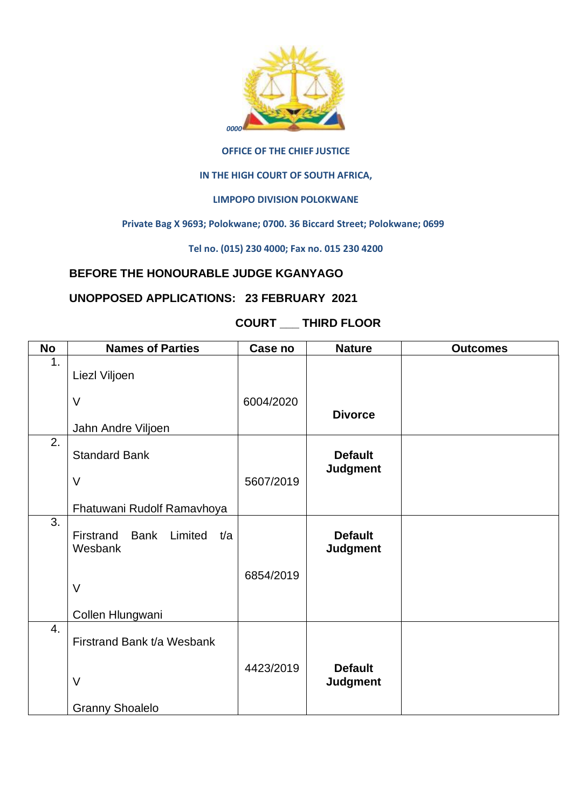

#### **OFFICE OF THE CHIEF JUSTICE**

#### **IN THE HIGH COURT OF SOUTH AFRICA,**

### **LIMPOPO DIVISION POLOKWANE**

#### **Private Bag X 9693; Polokwane; 0700. 36 Biccard Street; Polokwane; 0699**

**Tel no. (015) 230 4000; Fax no. 015 230 4200**

## **BEFORE THE HONOURABLE JUDGE KGANYAGO**

## **UNOPPOSED APPLICATIONS: 23 FEBRUARY 2021**

# **COURT \_\_\_ THIRD FLOOR**

| <b>No</b>        | <b>Names of Parties</b>                    | Case no   | <b>Nature</b>                     | <b>Outcomes</b> |
|------------------|--------------------------------------------|-----------|-----------------------------------|-----------------|
| 1.               |                                            |           |                                   |                 |
|                  | Liezl Viljoen                              |           |                                   |                 |
|                  | $\vee$                                     | 6004/2020 |                                   |                 |
|                  |                                            |           | <b>Divorce</b>                    |                 |
|                  | Jahn Andre Viljoen                         |           |                                   |                 |
| 2.               |                                            |           |                                   |                 |
|                  | <b>Standard Bank</b>                       |           | <b>Default</b><br><b>Judgment</b> |                 |
|                  | $\vee$                                     | 5607/2019 |                                   |                 |
|                  |                                            |           |                                   |                 |
|                  | Fhatuwani Rudolf Ramavhoya                 |           |                                   |                 |
| 3.               | Firstrand<br><b>Bank</b><br>Limited<br>t/a |           | <b>Default</b>                    |                 |
|                  | Wesbank                                    |           | <b>Judgment</b>                   |                 |
|                  |                                            |           |                                   |                 |
|                  |                                            | 6854/2019 |                                   |                 |
|                  | $\vee$                                     |           |                                   |                 |
|                  | Collen Hlungwani                           |           |                                   |                 |
| $\overline{4}$ . |                                            |           |                                   |                 |
|                  | Firstrand Bank t/a Wesbank                 |           |                                   |                 |
|                  |                                            |           |                                   |                 |
|                  | $\vee$                                     | 4423/2019 | <b>Default</b><br><b>Judgment</b> |                 |
|                  |                                            |           |                                   |                 |
|                  | <b>Granny Shoalelo</b>                     |           |                                   |                 |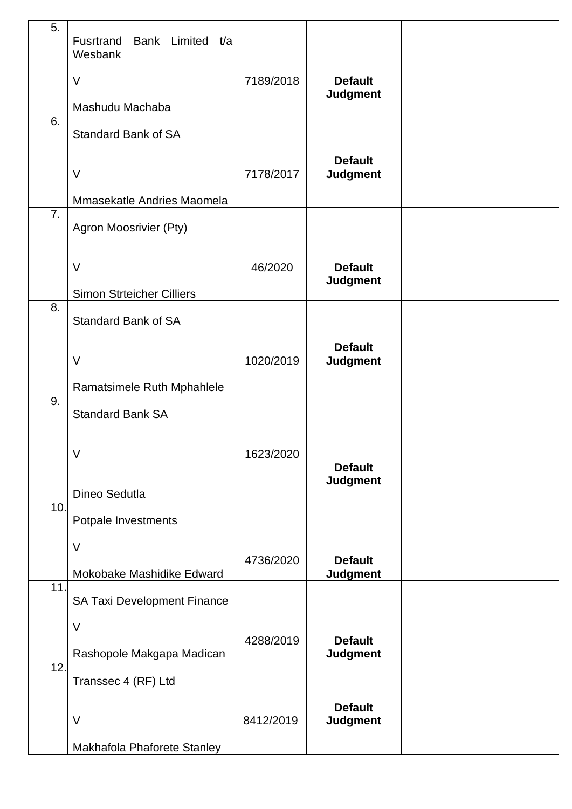| 5.  | Fusrtrand<br>Bank Limited t/a<br>Wesbank |           |                                   |  |
|-----|------------------------------------------|-----------|-----------------------------------|--|
|     | $\vee$                                   | 7189/2018 | <b>Default</b><br><b>Judgment</b> |  |
|     | Mashudu Machaba                          |           |                                   |  |
| 6.  | <b>Standard Bank of SA</b>               |           |                                   |  |
|     | $\vee$                                   | 7178/2017 | <b>Default</b><br><b>Judgment</b> |  |
|     | Mmasekatle Andries Maomela               |           |                                   |  |
| 7.  | Agron Moosrivier (Pty)                   |           |                                   |  |
|     | $\vee$                                   | 46/2020   | <b>Default</b><br><b>Judgment</b> |  |
|     | <b>Simon Strteicher Cilliers</b>         |           |                                   |  |
| 8.  | <b>Standard Bank of SA</b>               |           |                                   |  |
|     | $\vee$                                   | 1020/2019 | <b>Default</b><br><b>Judgment</b> |  |
|     | Ramatsimele Ruth Mphahlele               |           |                                   |  |
| 9.  | <b>Standard Bank SA</b>                  |           |                                   |  |
|     | V<br>Dineo Sedutla                       | 1623/2020 | <b>Default</b><br><b>Judgment</b> |  |
| 10. |                                          |           |                                   |  |
|     | Potpale Investments                      |           |                                   |  |
|     | V                                        | 4736/2020 | <b>Default</b>                    |  |
|     | Mokobake Mashidike Edward                |           | <b>Judgment</b>                   |  |
| 11. | SA Taxi Development Finance              |           |                                   |  |
|     | $\vee$                                   |           |                                   |  |
|     | Rashopole Makgapa Madican                | 4288/2019 | <b>Default</b><br><b>Judgment</b> |  |
| 12. | Transsec 4 (RF) Ltd                      |           |                                   |  |
|     | $\vee$                                   | 8412/2019 | <b>Default</b><br><b>Judgment</b> |  |
|     | Makhafola Phaforete Stanley              |           |                                   |  |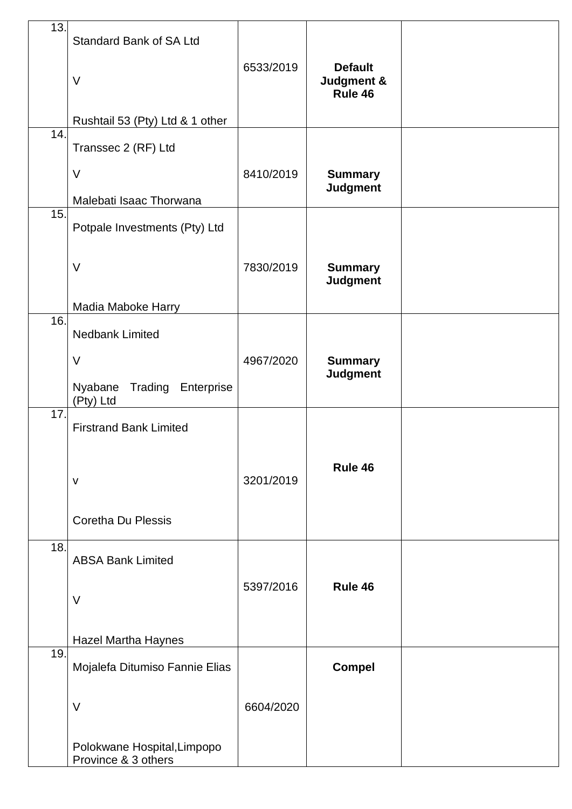| 13. | Standard Bank of SA Ltd                            |           |                                         |  |
|-----|----------------------------------------------------|-----------|-----------------------------------------|--|
|     | V                                                  | 6533/2019 | <b>Default</b><br>Judgment &<br>Rule 46 |  |
|     | Rushtail 53 (Pty) Ltd & 1 other                    |           |                                         |  |
| 14. | Transsec 2 (RF) Ltd                                |           |                                         |  |
|     | $\vee$                                             | 8410/2019 | <b>Summary</b><br><b>Judgment</b>       |  |
|     | Malebati Isaac Thorwana                            |           |                                         |  |
| 15. | Potpale Investments (Pty) Ltd                      |           |                                         |  |
|     | $\vee$                                             | 7830/2019 | <b>Summary</b><br><b>Judgment</b>       |  |
|     | <b>Madia Maboke Harry</b>                          |           |                                         |  |
| 16. | <b>Nedbank Limited</b>                             |           |                                         |  |
|     | $\vee$                                             | 4967/2020 | <b>Summary</b><br><b>Judgment</b>       |  |
|     | Nyabane<br>Trading Enterprise<br>(Pty) Ltd         |           |                                         |  |
| 17. | <b>Firstrand Bank Limited</b>                      |           |                                         |  |
|     | $\mathsf{V}$                                       | 3201/2019 | Rule 46                                 |  |
|     | <b>Coretha Du Plessis</b>                          |           |                                         |  |
| 18. | <b>ABSA Bank Limited</b>                           |           |                                         |  |
|     | $\vee$                                             | 5397/2016 | Rule 46                                 |  |
|     | <b>Hazel Martha Haynes</b>                         |           |                                         |  |
| 19. | Mojalefa Ditumiso Fannie Elias                     |           | <b>Compel</b>                           |  |
|     | V                                                  | 6604/2020 |                                         |  |
|     | Polokwane Hospital, Limpopo<br>Province & 3 others |           |                                         |  |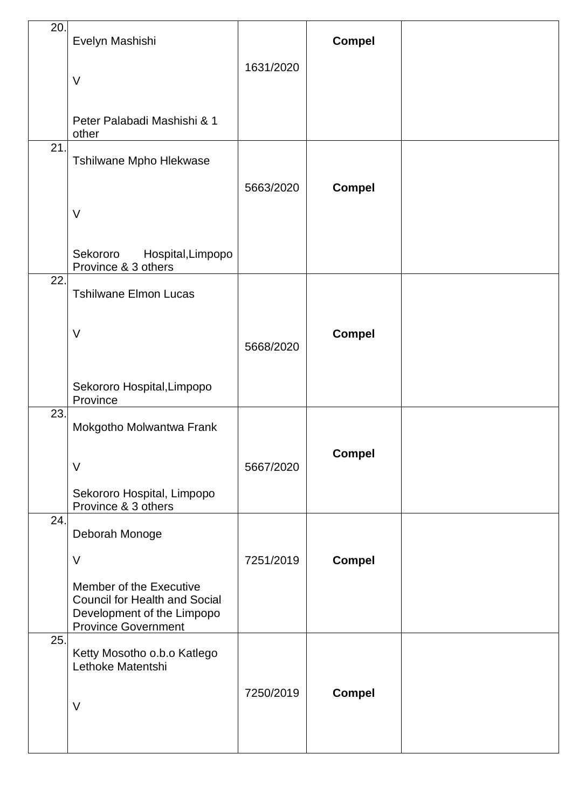| 20. | Evelyn Mashishi                                                                                                             |           | <b>Compel</b> |  |
|-----|-----------------------------------------------------------------------------------------------------------------------------|-----------|---------------|--|
|     | $\vee$                                                                                                                      | 1631/2020 |               |  |
|     | Peter Palabadi Mashishi & 1<br>other                                                                                        |           |               |  |
| 21. | Tshilwane Mpho Hlekwase                                                                                                     | 5663/2020 | <b>Compel</b> |  |
|     | V                                                                                                                           |           |               |  |
|     | Sekororo<br>Hospital, Limpopo<br>Province & 3 others                                                                        |           |               |  |
| 22. | <b>Tshilwane Elmon Lucas</b>                                                                                                |           |               |  |
|     | $\vee$                                                                                                                      | 5668/2020 | <b>Compel</b> |  |
|     | Sekororo Hospital, Limpopo<br>Province                                                                                      |           |               |  |
| 23. | Mokgotho Molwantwa Frank                                                                                                    |           |               |  |
|     | $\vee$<br>Sekororo Hospital, Limpopo                                                                                        | 5667/2020 | <b>Compel</b> |  |
| 24. | Province & 3 others                                                                                                         |           |               |  |
|     | Deborah Monoge                                                                                                              |           |               |  |
|     | V                                                                                                                           | 7251/2019 | <b>Compel</b> |  |
|     | Member of the Executive<br><b>Council for Health and Social</b><br>Development of the Limpopo<br><b>Province Government</b> |           |               |  |
| 25. | Ketty Mosotho o.b.o Katlego<br>Lethoke Matentshi                                                                            |           |               |  |
|     | $\vee$                                                                                                                      | 7250/2019 | <b>Compel</b> |  |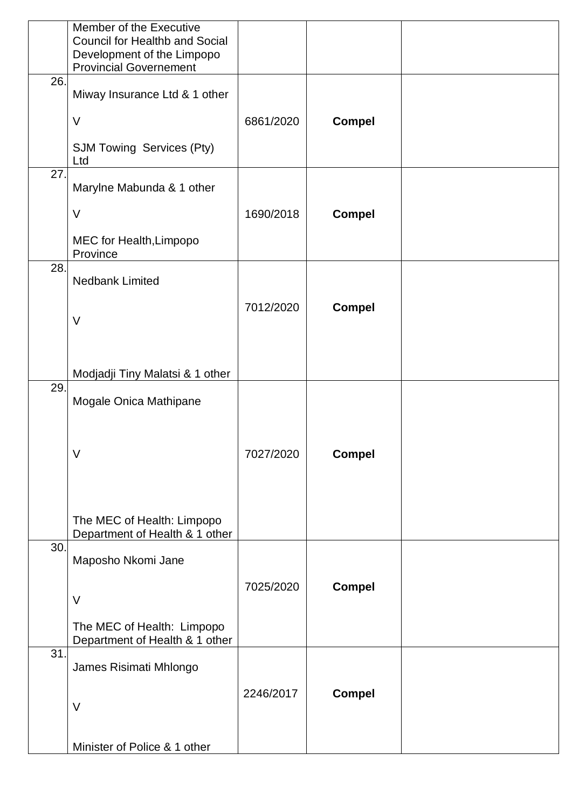|     | Member of the Executive<br><b>Council for Healthb and Social</b><br>Development of the Limpopo<br><b>Provincial Governement</b> |           |               |  |
|-----|---------------------------------------------------------------------------------------------------------------------------------|-----------|---------------|--|
| 26. | Miway Insurance Ltd & 1 other                                                                                                   |           |               |  |
|     | $\vee$                                                                                                                          | 6861/2020 | <b>Compel</b> |  |
|     | <b>SJM Towing Services (Pty)</b><br>Ltd                                                                                         |           |               |  |
| 27. | Marylne Mabunda & 1 other                                                                                                       |           |               |  |
|     | $\vee$                                                                                                                          | 1690/2018 | <b>Compel</b> |  |
|     | MEC for Health, Limpopo<br>Province                                                                                             |           |               |  |
| 28. | <b>Nedbank Limited</b>                                                                                                          |           |               |  |
|     |                                                                                                                                 | 7012/2020 | <b>Compel</b> |  |
|     | $\vee$                                                                                                                          |           |               |  |
|     | Modjadji Tiny Malatsi & 1 other                                                                                                 |           |               |  |
| 29. | Mogale Onica Mathipane                                                                                                          |           |               |  |
|     |                                                                                                                                 |           |               |  |
|     | V                                                                                                                               | 7027/2020 | <b>Compel</b> |  |
|     |                                                                                                                                 |           |               |  |
|     | The MEC of Health: Limpopo<br>Department of Health & 1 other                                                                    |           |               |  |
| 30. | Maposho Nkomi Jane                                                                                                              |           |               |  |
|     |                                                                                                                                 | 7025/2020 | <b>Compel</b> |  |
|     | $\vee$                                                                                                                          |           |               |  |
|     | The MEC of Health: Limpopo<br>Department of Health & 1 other                                                                    |           |               |  |
| 31. | James Risimati Mhlongo                                                                                                          |           |               |  |
|     | $\vee$                                                                                                                          | 2246/2017 | <b>Compel</b> |  |
|     |                                                                                                                                 |           |               |  |
|     | Minister of Police & 1 other                                                                                                    |           |               |  |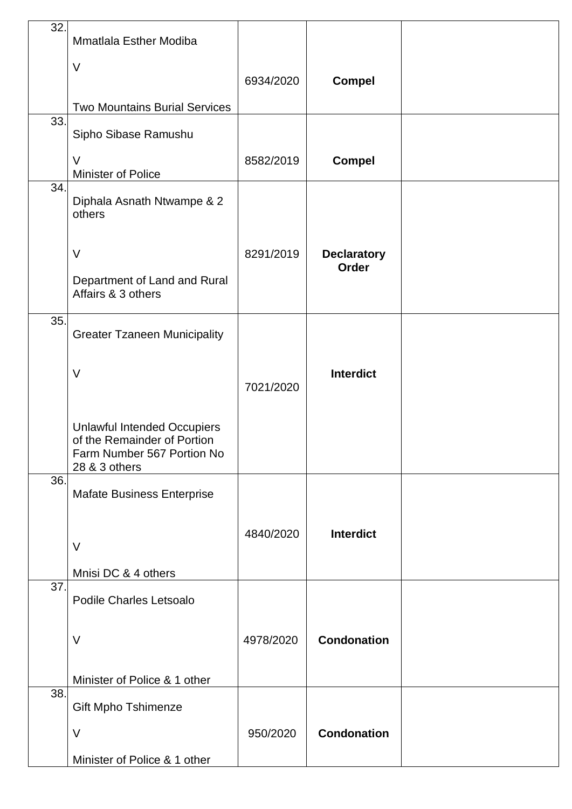| 32. | <b>Mmatlala Esther Modiba</b>                                                                                    |           |                                    |  |
|-----|------------------------------------------------------------------------------------------------------------------|-----------|------------------------------------|--|
|     | V                                                                                                                |           |                                    |  |
|     |                                                                                                                  | 6934/2020 | <b>Compel</b>                      |  |
| 33. | <b>Two Mountains Burial Services</b>                                                                             |           |                                    |  |
|     | Sipho Sibase Ramushu                                                                                             |           |                                    |  |
|     | $\vee$<br>Minister of Police                                                                                     | 8582/2019 | <b>Compel</b>                      |  |
| 34. | Diphala Asnath Ntwampe & 2<br>others                                                                             |           |                                    |  |
|     | $\vee$                                                                                                           | 8291/2019 | <b>Declaratory</b><br><b>Order</b> |  |
|     | Department of Land and Rural<br>Affairs & 3 others                                                               |           |                                    |  |
| 35. | <b>Greater Tzaneen Municipality</b>                                                                              |           |                                    |  |
|     | $\vee$                                                                                                           | 7021/2020 | <b>Interdict</b>                   |  |
|     | <b>Unlawful Intended Occupiers</b><br>of the Remainder of Portion<br>Farm Number 567 Portion No<br>28 & 3 others |           |                                    |  |
| 36. | <b>Mafate Business Enterprise</b>                                                                                |           |                                    |  |
|     | $\vee$                                                                                                           | 4840/2020 | Interdict                          |  |
| 37. | Mnisi DC & 4 others                                                                                              |           |                                    |  |
|     | <b>Podile Charles Letsoalo</b>                                                                                   |           |                                    |  |
|     | $\vee$                                                                                                           | 4978/2020 | <b>Condonation</b>                 |  |
|     | Minister of Police & 1 other                                                                                     |           |                                    |  |
| 38. | <b>Gift Mpho Tshimenze</b>                                                                                       |           |                                    |  |
|     | $\vee$                                                                                                           | 950/2020  | <b>Condonation</b>                 |  |
|     | Minister of Police & 1 other                                                                                     |           |                                    |  |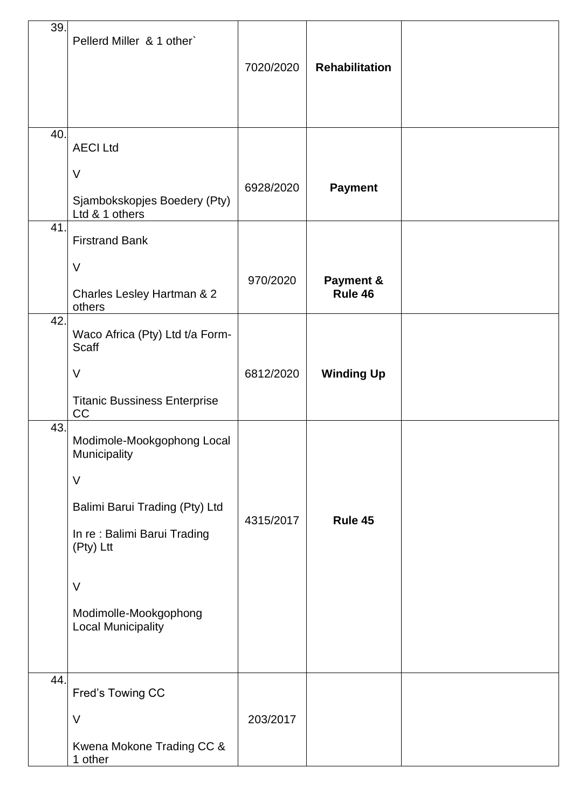| 39.        | Pellerd Miller & 1 other`                                                                                                                                                                     | 7020/2020 | <b>Rehabilitation</b> |  |
|------------|-----------------------------------------------------------------------------------------------------------------------------------------------------------------------------------------------|-----------|-----------------------|--|
| 40.<br>41. | <b>AECI Ltd</b><br>$\vee$<br>Sjambokskopjes Boedery (Pty)<br>Ltd & 1 others<br><b>Firstrand Bank</b>                                                                                          | 6928/2020 | <b>Payment</b>        |  |
|            | $\vee$<br>Charles Lesley Hartman & 2<br>others                                                                                                                                                | 970/2020  | Payment &<br>Rule 46  |  |
| 42.        | Waco Africa (Pty) Ltd t/a Form-<br>Scaff<br>V<br><b>Titanic Bussiness Enterprise</b><br>CC                                                                                                    | 6812/2020 | <b>Winding Up</b>     |  |
| 43.        | Modimole-Mookgophong Local<br>Municipality<br>$\vee$<br>Balimi Barui Trading (Pty) Ltd<br>In re: Balimi Barui Trading<br>(Pty) Ltt<br>V<br>Modimolle-Mookgophong<br><b>Local Municipality</b> | 4315/2017 | Rule 45               |  |
| 44.        | Fred's Towing CC<br>$\vee$<br>Kwena Mokone Trading CC &<br>1 other                                                                                                                            | 203/2017  |                       |  |